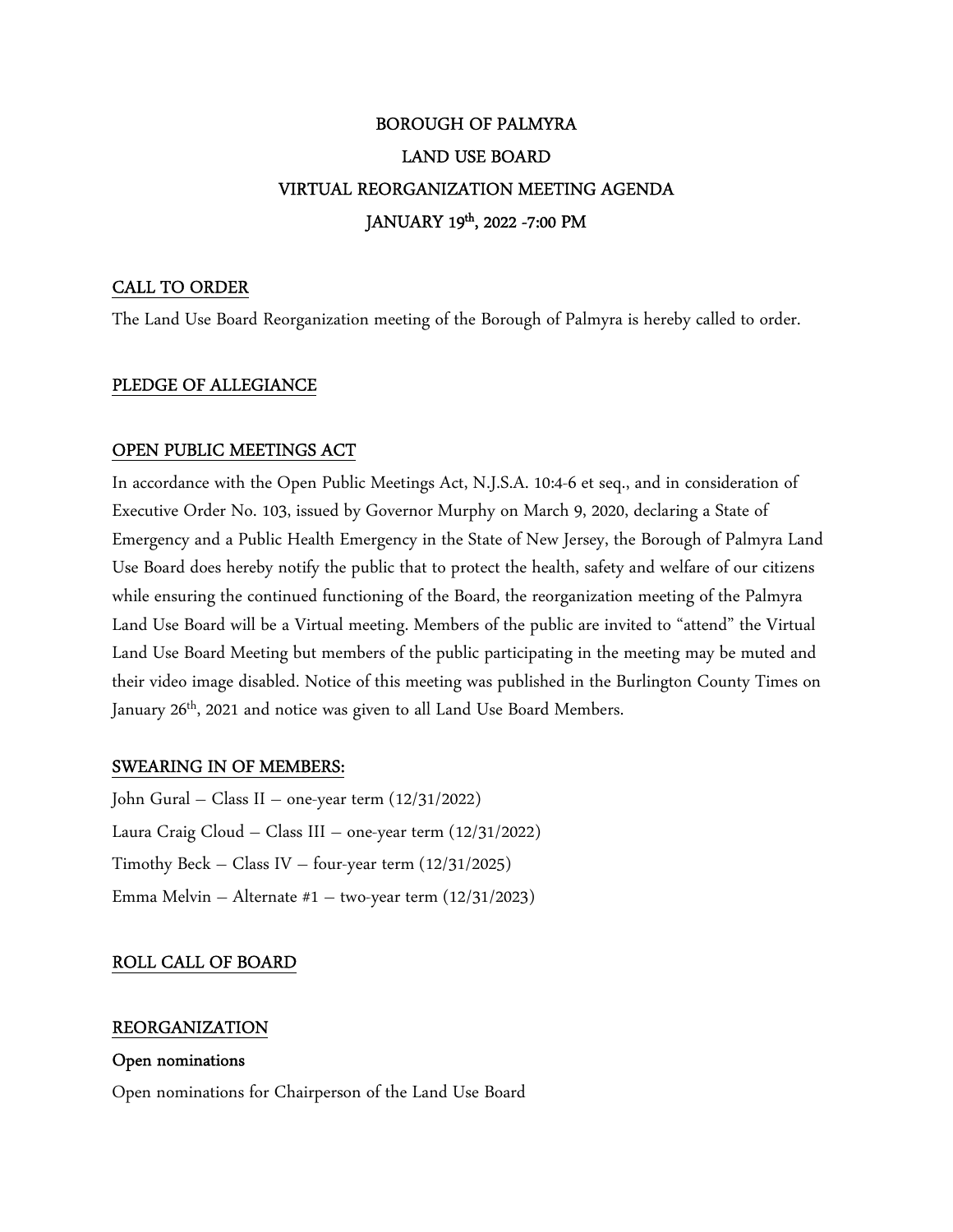# BOROUGH OF PALMYRA LAND USE BOARD VIRTUAL REORGANIZATION MEETING AGENDA JANUARY 19th, 2022 -7:00 PM

## CALL TO ORDER

The Land Use Board Reorganization meeting of the Borough of Palmyra is hereby called to order.

#### PLEDGE OF ALLEGIANCE

#### OPEN PUBLIC MEETINGS ACT

In accordance with the Open Public Meetings Act, N.J.S.A. 10:4-6 et seq., and in consideration of Executive Order No. 103, issued by Governor Murphy on March 9, 2020, declaring a State of Emergency and a Public Health Emergency in the State of New Jersey, the Borough of Palmyra Land Use Board does hereby notify the public that to protect the health, safety and welfare of our citizens while ensuring the continued functioning of the Board, the reorganization meeting of the Palmyra Land Use Board will be a Virtual meeting. Members of the public are invited to "attend" the Virtual Land Use Board Meeting but members of the public participating in the meeting may be muted and their video image disabled. Notice of this meeting was published in the Burlington County Times on January 26<sup>th</sup>, 2021 and notice was given to all Land Use Board Members.

#### SWEARING IN OF MEMBERS:

John Gural – Class II – one-year term (12/31/2022) Laura Craig Cloud – Class III – one-year term (12/31/2022) Timothy Beck – Class IV – four-year term  $(12/31/2025)$ Emma Melvin – Alternate #1 – two-year term (12/31/2023)

## ROLL CALL OF BOARD

## REORGANIZATION

#### Open nominations

Open nominations for Chairperson of the Land Use Board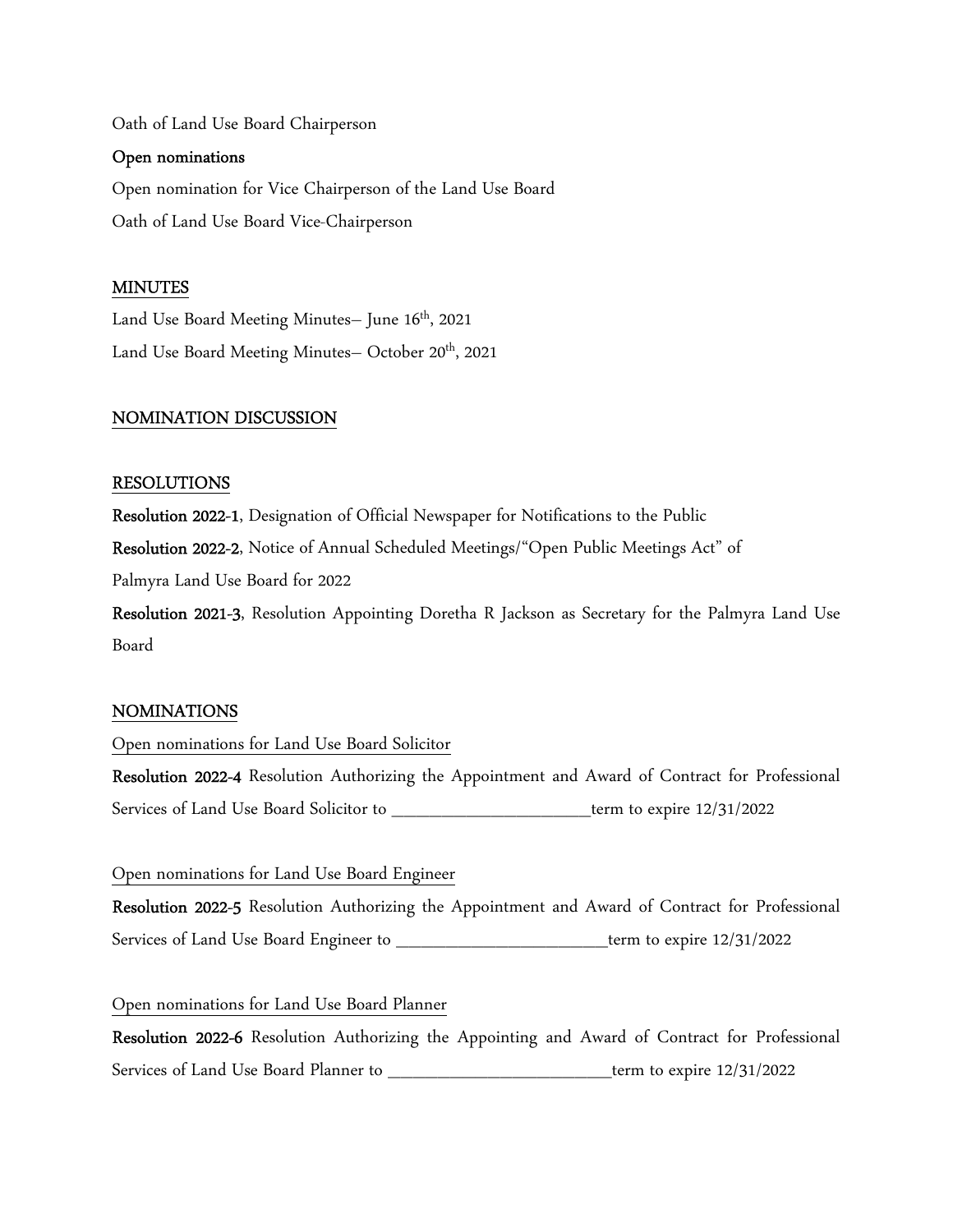Oath of Land Use Board Chairperson

#### Open nominations

Open nomination for Vice Chairperson of the Land Use Board Oath of Land Use Board Vice-Chairperson

## MINUTES

Land Use Board Meeting Minutes- June 16<sup>th</sup>, 2021 Land Use Board Meeting Minutes- October 20<sup>th</sup>, 2021

## NOMINATION DISCUSSION

#### RESOLUTIONS

Resolution 2022-1, Designation of Official Newspaper for Notifications to the Public

Resolution 2022-2, Notice of Annual Scheduled Meetings/"Open Public Meetings Act" of

Palmyra Land Use Board for 2022

Resolution 2021-3, Resolution Appointing Doretha R Jackson as Secretary for the Palmyra Land Use Board

## NOMINATIONS

Open nominations for Land Use Board Solicitor

Resolution 2022-4 Resolution Authorizing the Appointment and Award of Contract for Professional Services of Land Use Board Solicitor to \_\_\_\_\_\_\_\_\_\_\_\_\_\_\_\_term to expire 12/31/2022

#### Open nominations for Land Use Board Engineer

Resolution 2022-5 Resolution Authorizing the Appointment and Award of Contract for Professional Services of Land Use Board Engineer to \_\_\_\_\_\_\_\_\_\_\_\_\_\_\_\_\_term to expire 12/31/2022

## Open nominations for Land Use Board Planner

Resolution 2022-6 Resolution Authorizing the Appointing and Award of Contract for Professional Services of Land Use Board Planner to \_\_\_\_\_\_\_\_\_\_\_\_\_\_\_\_\_\_\_\_\_\_\_\_\_\_\_term to expire  $12/31/2022$